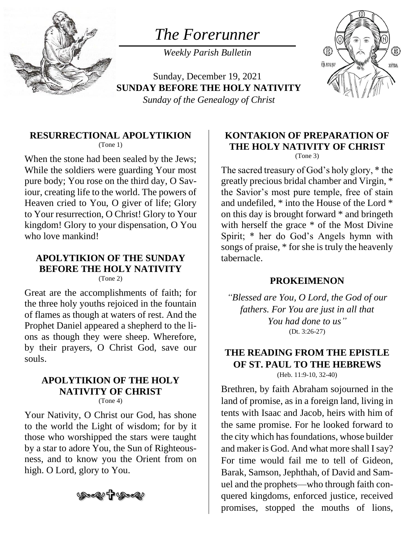

*The Forerunner*

*Weekly Parish Bulletin*

Sunday, December 19, 2021 **SUNDAY BEFORE THE HOLY NATIVITY** *Sunday of the Genealogy of Christ*



# **RESURRECTIONAL APOLYTIKION**

(Tone 1)

When the stone had been sealed by the Jews; While the soldiers were guarding Your most pure body; You rose on the third day, O Saviour, creating life to the world. The powers of Heaven cried to You, O giver of life; Glory to Your resurrection, O Christ! Glory to Your kingdom! Glory to your dispensation, O You who love mankind!

## **APOLYTIKION OF THE SUNDAY BEFORE THE HOLY NATIVITY**

(Tone 2)

Great are the accomplishments of faith; for the three holy youths rejoiced in the fountain of flames as though at waters of rest. And the Prophet Daniel appeared a shepherd to the lions as though they were sheep. Wherefore, by their prayers, O Christ God, save our souls.

# **APOLYTIKION OF THE HOLY NATIVITY OF CHRIST**

(Tone 4)

Your Nativity, O Christ our God, has shone to the world the Light of wisdom; for by it those who worshipped the stars were taught by a star to adore You, the Sun of Righteousness, and to know you the Orient from on high. O Lord, glory to You.



#### **KONTAKION OF PREPARATION OF THE HOLY NATIVITY OF CHRIST** (Tone 3)

The sacred treasury of God's holy glory, \* the greatly precious bridal chamber and Virgin, \* the Savior's most pure temple, free of stain and undefiled, \* into the House of the Lord \* on this day is brought forward \* and bringeth with herself the grace  $*$  of the Most Divine Spirit; \* her do God's Angels hymn with songs of praise, \* for she is truly the heavenly tabernacle.

#### **PROKEIMENON**

*"Blessed are You, O Lord, the God of our fathers. For You are just in all that You had done to us"* (Dt. 3:26-27)

#### **THE READING FROM THE EPISTLE OF ST. PAUL TO THE HEBREWS** (Heb. 11:9-10, 32-40)

Brethren, by faith Abraham sojourned in the land of promise, as in a foreign land, living in tents with Isaac and Jacob, heirs with him of the same promise. For he looked forward to the city which has foundations, whose builder and maker is God. And what more shall I say? For time would fail me to tell of Gideon, Barak, Samson, Jephthah, of David and Samuel and the prophets—who through faith conquered kingdoms, enforced justice, received promises, stopped the mouths of lions,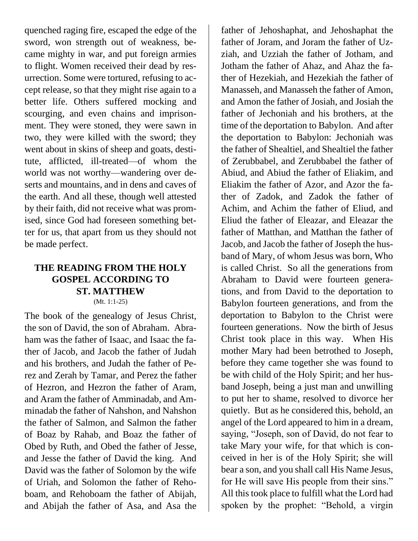quenched raging fire, escaped the edge of the sword, won strength out of weakness, became mighty in war, and put foreign armies to flight. Women received their dead by resurrection. Some were tortured, refusing to accept release, so that they might rise again to a better life. Others suffered mocking and scourging, and even chains and imprisonment. They were stoned, they were sawn in two, they were killed with the sword; they went about in skins of sheep and goats, destitute, afflicted, ill-treated—of whom the world was not worthy—wandering over deserts and mountains, and in dens and caves of the earth. And all these, though well attested by their faith, did not receive what was promised, since God had foreseen something better for us, that apart from us they should not be made perfect.

#### **THE READING FROM THE HOLY GOSPEL ACCORDING TO ST. MATTHEW** (Mt. 1:1-25)

The book of the genealogy of Jesus Christ, the son of David, the son of Abraham. Abraham was the father of Isaac, and Isaac the father of Jacob, and Jacob the father of Judah and his brothers, and Judah the father of Perez and Zerah by Tamar, and Perez the father of Hezron, and Hezron the father of Aram, and Aram the father of Amminadab, and Amminadab the father of Nahshon, and Nahshon the father of Salmon, and Salmon the father of Boaz by Rahab, and Boaz the father of Obed by Ruth, and Obed the father of Jesse, and Jesse the father of David the king. And David was the father of Solomon by the wife of Uriah, and Solomon the father of Rehoboam, and Rehoboam the father of Abijah, and Abijah the father of Asa, and Asa the

father of Jehoshaphat, and Jehoshaphat the father of Joram, and Joram the father of Uzziah, and Uzziah the father of Jotham, and Jotham the father of Ahaz, and Ahaz the father of Hezekiah, and Hezekiah the father of Manasseh, and Manasseh the father of Amon, and Amon the father of Josiah, and Josiah the father of Jechoniah and his brothers, at the time of the deportation to Babylon. And after the deportation to Babylon: Jechoniah was the father of Shealtiel, and Shealtiel the father of Zerubbabel, and Zerubbabel the father of Abiud, and Abiud the father of Eliakim, and Eliakim the father of Azor, and Azor the father of Zadok, and Zadok the father of Achim, and Achim the father of Eliud, and Eliud the father of Eleazar, and Eleazar the father of Matthan, and Matthan the father of Jacob, and Jacob the father of Joseph the husband of Mary, of whom Jesus was born, Who is called Christ. So all the generations from Abraham to David were fourteen generations, and from David to the deportation to Babylon fourteen generations, and from the deportation to Babylon to the Christ were fourteen generations. Now the birth of Jesus Christ took place in this way. When His mother Mary had been betrothed to Joseph, before they came together she was found to be with child of the Holy Spirit; and her husband Joseph, being a just man and unwilling to put her to shame, resolved to divorce her quietly. But as he considered this, behold, an angel of the Lord appeared to him in a dream, saying, "Joseph, son of David, do not fear to take Mary your wife, for that which is conceived in her is of the Holy Spirit; she will bear a son, and you shall call His Name Jesus, for He will save His people from their sins." All this took place to fulfill what the Lord had spoken by the prophet: "Behold, a virgin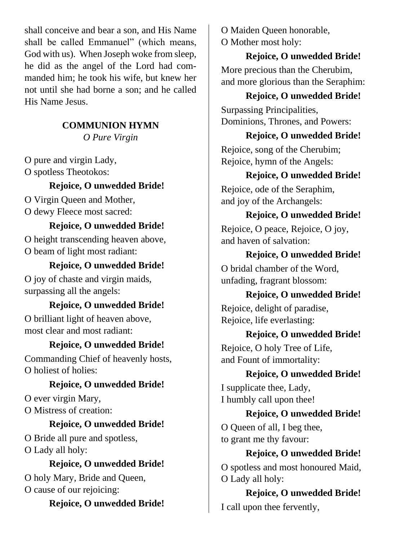shall conceive and bear a son, and His Name shall be called Emmanuel" (which means, God with us). When Joseph woke from sleep, he did as the angel of the Lord had commanded him; he took his wife, but knew her not until she had borne a son; and he called His Name Jesus.

### **COMMUNION HYMN**

*O Pure Virgin*

O pure and virgin Lady, O spotless Theotokos:

# **Rejoice, O unwedded Bride!**

O Virgin Queen and Mother, O dewy Fleece most sacred:

### **Rejoice, O unwedded Bride!**

O height transcending heaven above, O beam of light most radiant:

# **Rejoice, O unwedded Bride!**

O joy of chaste and virgin maids, surpassing all the angels:

#### **Rejoice, O unwedded Bride!**

O brilliant light of heaven above, most clear and most radiant:

#### **Rejoice, O unwedded Bride!**

Commanding Chief of heavenly hosts, O holiest of holies:

#### **Rejoice, O unwedded Bride!**

O ever virgin Mary, O Mistress of creation:

## **Rejoice, O unwedded Bride!**

O Bride all pure and spotless, O Lady all holy:

# **Rejoice, O unwedded Bride!**

O holy Mary, Bride and Queen, O cause of our rejoicing:

### **Rejoice, O unwedded Bride!**

O Maiden Queen honorable, O Mother most holy:

**Rejoice, O unwedded Bride!** More precious than the Cherubim, and more glorious than the Seraphim:

### **Rejoice, O unwedded Bride!**

Surpassing Principalities, Dominions, Thrones, and Powers:

### **Rejoice, O unwedded Bride!**

Rejoice, song of the Cherubim; Rejoice, hymn of the Angels:

### **Rejoice, O unwedded Bride!**

Rejoice, ode of the Seraphim, and joy of the Archangels:

#### **Rejoice, O unwedded Bride!**

Rejoice, O peace, Rejoice, O joy, and haven of salvation:

**Rejoice, O unwedded Bride!**

O bridal chamber of the Word, unfading, fragrant blossom:

#### **Rejoice, O unwedded Bride!**

Rejoice, delight of paradise, Rejoice, life everlasting:

#### **Rejoice, O unwedded Bride!**

Rejoice, O holy Tree of Life, and Fount of immortality:

## **Rejoice, O unwedded Bride!**

I supplicate thee, Lady, I humbly call upon thee!

## **Rejoice, O unwedded Bride!** O Queen of all, I beg thee,

to grant me thy favour:

### **Rejoice, O unwedded Bride!**

O spotless and most honoured Maid, O Lady all holy:

**Rejoice, O unwedded Bride!** I call upon thee fervently,